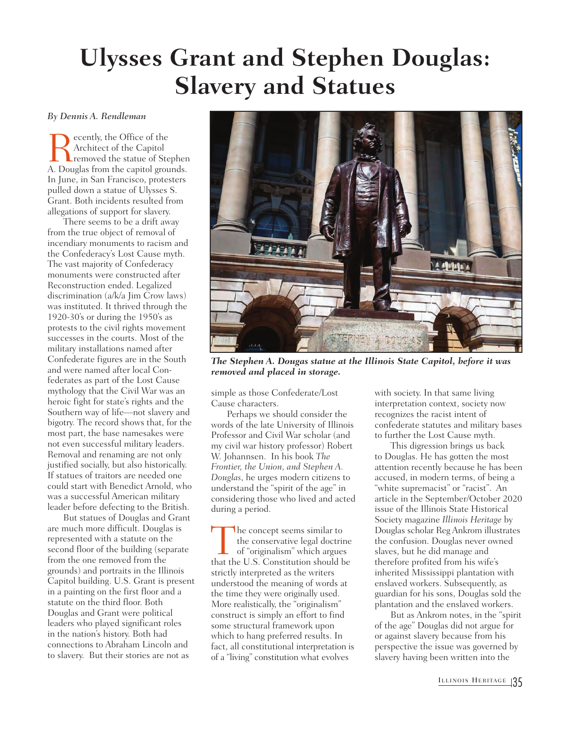## **Ulysses Grant and Stephen Douglas: Slavery and Statues**

## *By Dennis A. Rendleman*

Recently, the Office of the<br>Architect of the Capitol<br>A. Douglas from the capitol grou Architect of the Capitol removed the statue of Stephen A. Douglas from the capitol grounds. In June, in San Francisco, protesters pulled down a statue of Ulysses S. Grant. Both incidents resulted from allegations of support for slavery.

There seems to be a drift away from the true object of removal of incendiary monuments to racism and the Confederacy's Lost Cause myth. The vast majority of Confederacy monuments were constructed after Reconstruction ended. Legalized discrimination (a/k/a Jim Crow laws) was instituted. It thrived through the 1920-30's or during the 1950's as protests to the civil rights movement successes in the courts. Most of the military installations named after Confederate figures are in the South and were named after local Confederates as part of the Lost Cause mythology that the Civil War was an heroic fight for state's rights and the Southern way of life—not slavery and bigotry. The record shows that, for the most part, the base namesakes were not even successful military leaders. Removal and renaming are not only justified socially, but also historically. If statues of traitors are needed one could start with Benedict Arnold, who was a successful American military leader before defecting to the British.

But statues of Douglas and Grant are much more difficult. Douglas is represented with a statute on the second floor of the building (separate from the one removed from the grounds) and portraits in the Illinois Capitol building. U.S. Grant is present in a painting on the first floor and a statute on the third floor. Both Douglas and Grant were political leaders who played significant roles in the nation's history. Both had connections to Abraham Lincoln and to slavery. But their stories are not as



*The Stephen A. Dougas statue at the Illinois State Capitol, before it was removed and placed in storage.* 

simple as those Confederate/Lost Cause characters.

Perhaps we should consider the words of the late University of Illinois Professor and Civil War scholar (and my civil war history professor) Robert W. Johannsen. In his book *The Frontier, the Union, and Stephen A. Douglas*, he urges modern citizens to understand the "spirit of the age" in considering those who lived and acted during a period.

The concept seems similar to<br>the conservative legal doctrine<br>of "originalism" which argues<br>that the U.S. Constitution should be the conservative legal doctrine of "originalism" which argues strictly interpreted as the writers understood the meaning of words at the time they were originally used. More realistically, the "originalism" construct is simply an effort to find some structural framework upon which to hang preferred results. In fact, all constitutional interpretation is of a "living" constitution what evolves

with society. In that same living interpretation context, society now recognizes the racist intent of confederate statutes and military bases to further the Lost Cause myth.

This digression brings us back to Douglas. He has gotten the most attention recently because he has been accused, in modern terms, of being a "white supremacist" or "racist". An article in the September/October 2020 issue of the Illinois State Historical Society magazine *Illinois Heritage* by Douglas scholar Reg Ankrom illustrates the confusion. Douglas never owned slaves, but he did manage and therefore profited from his wife's inherited Mississippi plantation with enslaved workers. Subsequently, as guardian for his sons, Douglas sold the plantation and the enslaved workers.

But as Ankrom notes, in the "spirit of the age" Douglas did not argue for or against slavery because from his perspective the issue was governed by slavery having been written into the